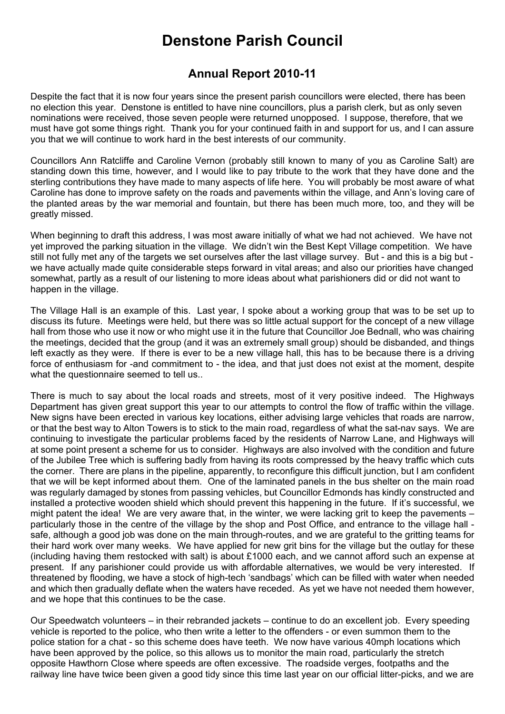# **Denstone Parish Council**

### **Annual Report 2010-11**

Despite the fact that it is now four years since the present parish councillors were elected, there has been no election this year. Denstone is entitled to have nine councillors, plus a parish clerk, but as only seven nominations were received, those seven people were returned unopposed. I suppose, therefore, that we must have got some things right. Thank you for your continued faith in and support for us, and I can assure you that we will continue to work hard in the best interests of our community.

Councillors Ann Ratcliffe and Caroline Vernon (probably still known to many of you as Caroline Salt) are standing down this time, however, and I would like to pay tribute to the work that they have done and the sterling contributions they have made to many aspects of life here. You will probably be most aware of what Caroline has done to improve safety on the roads and pavements within the village, and Ann's loving care of the planted areas by the war memorial and fountain, but there has been much more, too, and they will be greatly missed.

When beginning to draft this address, I was most aware initially of what we had not achieved. We have not yet improved the parking situation in the village. We didn't win the Best Kept Village competition. We have still not fully met any of the targets we set ourselves after the last village survey. But - and this is a big but we have actually made quite considerable steps forward in vital areas; and also our priorities have changed somewhat, partly as a result of our listening to more ideas about what parishioners did or did not want to happen in the village.

The Village Hall is an example of this. Last year, I spoke about a working group that was to be set up to discuss its future. Meetings were held, but there was so little actual support for the concept of a new village hall from those who use it now or who might use it in the future that Councillor Joe Bednall, who was chairing the meetings, decided that the group (and it was an extremely small group) should be disbanded, and things left exactly as they were. If there is ever to be a new village hall, this has to be because there is a driving force of enthusiasm for -and commitment to - the idea, and that just does not exist at the moment, despite what the questionnaire seemed to tell us..

There is much to say about the local roads and streets, most of it very positive indeed. The Highways Department has given great support this year to our attempts to control the flow of traffic within the village. New signs have been erected in various key locations, either advising large vehicles that roads are narrow, or that the best way to Alton Towers is to stick to the main road, regardless of what the sat-nav says. We are continuing to investigate the particular problems faced by the residents of Narrow Lane, and Highways will at some point present a scheme for us to consider. Highways are also involved with the condition and future of the Jubilee Tree which is suffering badly from having its roots compressed by the heavy traffic which cuts the corner. There are plans in the pipeline, apparently, to reconfigure this difficult junction, but I am confident that we will be kept informed about them. One of the laminated panels in the bus shelter on the main road was regularly damaged by stones from passing vehicles, but Councillor Edmonds has kindly constructed and installed a protective wooden shield which should prevent this happening in the future. If it's successful, we might patent the idea! We are very aware that, in the winter, we were lacking grit to keep the pavements – particularly those in the centre of the village by the shop and Post Office, and entrance to the village hall safe, although a good job was done on the main through-routes, and we are grateful to the gritting teams for their hard work over many weeks. We have applied for new grit bins for the village but the outlay for these (including having them restocked with salt) is about £1000 each, and we cannot afford such an expense at present. If any parishioner could provide us with affordable alternatives, we would be very interested. If threatened by flooding, we have a stock of high-tech 'sandbags' which can be filled with water when needed and which then gradually deflate when the waters have receded. As yet we have not needed them however, and we hope that this continues to be the case.

Our Speedwatch volunteers – in their rebranded jackets – continue to do an excellent job. Every speeding vehicle is reported to the police, who then write a letter to the offenders - or even summon them to the police station for a chat - so this scheme does have teeth. We now have various 40mph locations which have been approved by the police, so this allows us to monitor the main road, particularly the stretch opposite Hawthorn Close where speeds are often excessive. The roadside verges, footpaths and the railway line have twice been given a good tidy since this time last year on our official litter-picks, and we are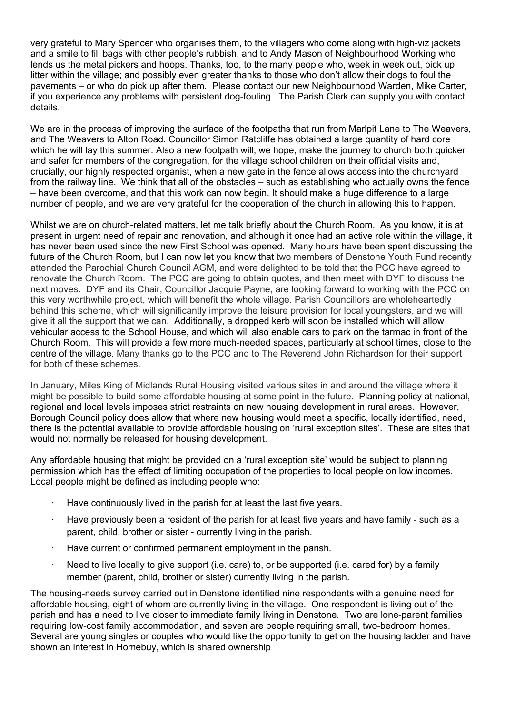very grateful to Mary Spencer who organises them, to the villagers who come along with high-viz jackets and a smile to fill bags with other people's rubbish, and to Andy Mason of Neighbourhood Working who lends us the metal pickers and hoops. Thanks, too, to the many people who, week in week out, pick up litter within the village; and possibly even greater thanks to those who don't allow their dogs to foul the pavements – or who do pick up after them. Please contact our new Neighbourhood Warden, Mike Carter, if you experience any problems with persistent dog-fouling. The Parish Clerk can supply you with contact details.

We are in the process of improving the surface of the footpaths that run from Marlpit Lane to The Weavers, and The Weavers to Alton Road. Councillor Simon Ratcliffe has obtained a large quantity of hard core which he will lay this summer. Also a new footpath will, we hope, make the journey to church both quicker and safer for members of the congregation, for the village school children on their official visits and, crucially, our highly respected organist, when a new gate in the fence allows access into the churchyard from the railway line. We think that all of the obstacles – such as establishing who actually owns the fence – have been overcome, and that this work can now begin. It should make a huge difference to a large number of people, and we are very grateful for the cooperation of the church in allowing this to happen.

Whilst we are on church-related matters, let me talk briefly about the Church Room. As you know, it is at present in urgent need of repair and renovation, and although it once had an active role within the village, it has never been used since the new First School was opened. Many hours have been spent discussing the future of the Church Room, but I can now let you know that two members of Denstone Youth Fund recently attended the Parochial Church Council AGM, and were delighted to be told that the PCC have agreed to renovate the Church Room. The PCC are going to obtain quotes, and then meet with DYF to discuss the next moves. DYF and its Chair, Councillor Jacquie Payne, are looking forward to working with the PCC on this very worthwhile project, which will benefit the whole village. Parish Councillors are wholeheartedly behind this scheme, which will significantly improve the leisure provision for local youngsters, and we will give it all the support that we can. Additionally, a dropped kerb will soon be installed which will allow vehicular access to the School House, and which will also enable cars to park on the tarmac in front of the Church Room. This will provide a few more much-needed spaces, particularly at school times, close to the centre of the village. Many thanks go to the PCC and to The Reverend John Richardson for their support for both of these schemes.

In January, Miles King of Midlands Rural Housing visited various sites in and around the village where it might be possible to build some affordable housing at some point in the future. Planning policy at national, regional and local levels imposes strict restraints on new housing development in rural areas. However, Borough Council policy does allow that where new housing would meet a specific, locally identified, need, there is the potential available to provide affordable housing on 'rural exception sites'. These are sites that would not normally be released for housing development.

Any affordable housing that might be provided on a 'rural exception site' would be subject to planning permission which has the effect of limiting occupation of the properties to local people on low incomes. Local people might be defined as including people who:

- Have continuously lived in the parish for at least the last five years.
- Have previously been a resident of the parish for at least five years and have family such as a parent, child, brother or sister - currently living in the parish.
- ∙ Have current or confirmed permanent employment in the parish.
- Need to live locally to give support (i.e. care) to, or be supported (i.e. cared for) by a family member (parent, child, brother or sister) currently living in the parish.

The housing-needs survey carried out in Denstone identified nine respondents with a genuine need for affordable housing, eight of whom are currently living in the village. One respondent is living out of the parish and has a need to live closer to immediate family living in Denstone. Two are lone-parent families requiring low-cost family accommodation, and seven are people requiring small, two-bedroom homes. Several are young singles or couples who would like the opportunity to get on the housing ladder and have shown an interest in Homebuy, which is shared ownership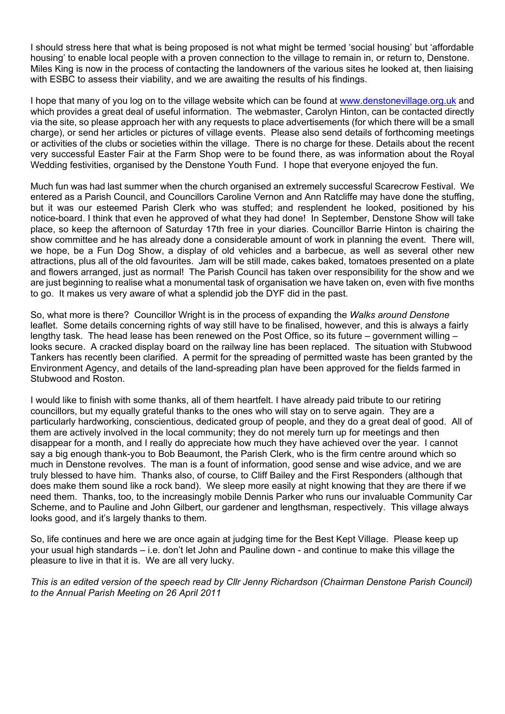I should stress here that what is being proposed is not what might be termed 'social housing' but 'affordable housing' to enable local people with a proven connection to the village to remain in, or return to, Denstone. Miles King is now in the process of contacting the landowners of the various sites he looked at, then liaising with ESBC to assess their viability, and we are awaiting the results of his findings.

I hope that many of you log on to the village website which can be found at www.denstonevillage.org.uk and which provides a great deal of useful information. The webmaster, Carolyn Hinton, can be contacted directly via the site, so please approach her with any requests to place advertisements (for which there will be a small charge), or send her articles or pictures of village events. Please also send details of forthcoming meetings or activities of the clubs or societies within the village. There is no charge for these. Details about the recent very successful Easter Fair at the Farm Shop were to be found there, as was information about the Royal Wedding festivities, organised by the Denstone Youth Fund. I hope that everyone enjoyed the fun.

Much fun was had last summer when the church organised an extremely successful Scarecrow Festival. We entered as a Parish Council, and Councillors Caroline Vernon and Ann Ratcliffe may have done the stuffing, but it was our esteemed Parish Clerk who was stuffed; and resplendent he looked, positioned by his notice-board. I think that even he approved of what they had done! In September, Denstone Show will take place, so keep the afternoon of Saturday 17th free in your diaries. Councillor Barrie Hinton is chairing the show committee and he has already done a considerable amount of work in planning the event. There will, we hope, be a Fun Dog Show, a display of old vehicles and a barbecue, as well as several other new attractions, plus all of the old favourites. Jam will be still made, cakes baked, tomatoes presented on a plate and flowers arranged, just as normal! The Parish Council has taken over responsibility for the show and we are just beginning to realise what a monumental task of organisation we have taken on, even with five months to go. It makes us very aware of what a splendid job the DYF did in the past.

So, what more is there? Councillor Wright is in the process of expanding the *Walks around Denstone* leaflet. Some details concerning rights of way still have to be finalised, however, and this is always a fairly lengthy task. The head lease has been renewed on the Post Office, so its future – government willing – looks secure. A cracked display board on the railway line has been replaced. The situation with Stubwood Tankers has recently been clarified. A permit for the spreading of permitted waste has been granted by the Environment Agency, and details of the land-spreading plan have been approved for the fields farmed in Stubwood and Roston.

I would like to finish with some thanks, all of them heartfelt. I have already paid tribute to our retiring councillors, but my equally grateful thanks to the ones who will stay on to serve again. They are a particularly hardworking, conscientious, dedicated group of people, and they do a great deal of good. All of them are actively involved in the local community; they do not merely turn up for meetings and then disappear for a month, and I really do appreciate how much they have achieved over the year. I cannot say a big enough thank-you to Bob Beaumont, the Parish Clerk, who is the firm centre around which so much in Denstone revolves. The man is a fount of information, good sense and wise advice, and we are truly blessed to have him. Thanks also, of course, to Cliff Bailey and the First Responders (although that does make them sound like a rock band). We sleep more easily at night knowing that they are there if we need them. Thanks, too, to the increasingly mobile Dennis Parker who runs our invaluable Community Car Scheme, and to Pauline and John Gilbert, our gardener and lengthsman, respectively. This village always looks good, and it's largely thanks to them.

So, life continues and here we are once again at judging time for the Best Kept Village. Please keep up your usual high standards – i.e. don't let John and Pauline down - and continue to make this village the pleasure to live in that it is. We are all very lucky.

*This is an edited version of the speech read by Cllr Jenny Richardson (Chairman Denstone Parish Council) to the Annual Parish Meeting on 26 April 2011*